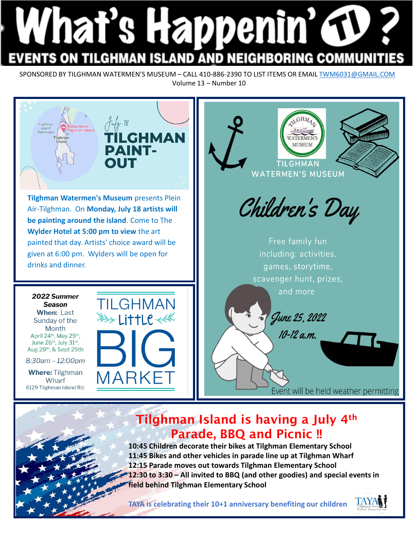## What's Happenin' G **TILGHMAN ISLAND AND NEIGHBORING COMMUN**

SPONSORED BY TILGHMAN WATERMEN'S MUSEUM – CALL 410-886-2390 TO LIST ITEMS OR EMAIL TWM6031@GMAIL.COM Volume 13 – Number 10



**10:45 Children decorate their bikes at Tilghman Elementary School 11:45 Bikes and other vehicles in parade line up at Tilghman Wharf 12:15 Parade moves out towards Tilghman Elementary School 12:30 to 3:30 – All invited to BBQ (and other goodies) and special events in field behind Tilghman Elementary School**

**TAYA is celebrating their 10+1 anniversary benefiting our children**